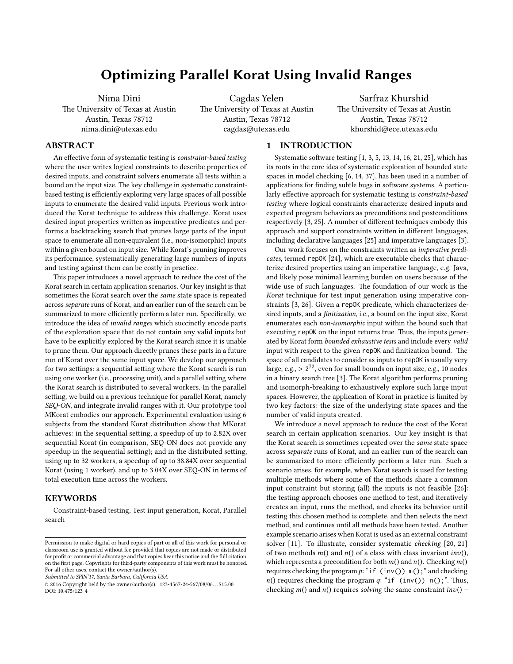# Optimizing Parallel Korat Using Invalid Ranges

Nima Dini The University of Texas at Austin Austin, Texas 78712 nima.dini@utexas.edu

Cagdas Yelen The University of Texas at Austin Austin, Texas 78712

cagdas@utexas.edu

Sarfraz Khurshid The University of Texas at Austin Austin, Texas 78712 khurshid@ece.utexas.edu

## ABSTRACT

An effective form of systematic testing is constraint-based testing where the user writes logical constraints to describe properties of desired inputs, and constraint solvers enumerate all tests within a bound on the input size. The key challenge in systematic constraintbased testing is efficiently exploring very large spaces of all possible inputs to enumerate the desired valid inputs. Previous work introduced the Korat technique to address this challenge. Korat uses desired input properties written as imperative predicates and performs a backtracking search that prunes large parts of the input space to enumerate all non-equivalent (i.e., non-isomorphic) inputs within a given bound on input size. While Korat's pruning improves its performance, systematically generating large numbers of inputs and testing against them can be costly in practice.

This paper introduces a novel approach to reduce the cost of the Korat search in certain application scenarios. Our key insight is that sometimes the Korat search over the same state space is repeated across separate runs of Korat, and an earlier run of the search can be summarized to more efficiently perform a later run. Specifically, we introduce the idea of invalid ranges which succinctly encode parts of the exploration space that do not contain any valid inputs but have to be explicitly explored by the Korat search since it is unable to prune them. Our approach directly prunes these parts in a future run of Korat over the same input space. We develop our approach for two settings: a sequential setting where the Korat search is run using one worker (i.e., processing unit), and a parallel setting where the Korat search is distributed to several workers. In the parallel setting, we build on a previous technique for parallel Korat, namely SEQ-ON, and integrate invalid ranges with it. Our prototype tool MKorat embodies our approach. Experimental evaluation using 6 subjects from the standard Korat distribution show that MKorat achieves: in the sequential setting, a speedup of up to 2.82X over sequential Korat (in comparison, SEQ-ON does not provide any speedup in the sequential setting); and in the distributed setting, using up to 32 workers, a speedup of up to 38.84X over sequential Korat (using 1 worker), and up to 3.04X over SEQ-ON in terms of total execution time across the workers.

# **KEYWORDS**

Constraint-based testing, Test input generation, Korat, Parallel search

Submitted to SPIN'17, Santa Barbara, California USA

## 1 INTRODUCTION

Systematic software testing  $[1, 3, 5, 13, 14, 16, 21, 25]$  $[1, 3, 5, 13, 14, 16, 21, 25]$  $[1, 3, 5, 13, 14, 16, 21, 25]$  $[1, 3, 5, 13, 14, 16, 21, 25]$  $[1, 3, 5, 13, 14, 16, 21, 25]$  $[1, 3, 5, 13, 14, 16, 21, 25]$  $[1, 3, 5, 13, 14, 16, 21, 25]$  $[1, 3, 5, 13, 14, 16, 21, 25]$  $[1, 3, 5, 13, 14, 16, 21, 25]$  $[1, 3, 5, 13, 14, 16, 21, 25]$  $[1, 3, 5, 13, 14, 16, 21, 25]$  $[1, 3, 5, 13, 14, 16, 21, 25]$  $[1, 3, 5, 13, 14, 16, 21, 25]$  $[1, 3, 5, 13, 14, 16, 21, 25]$  $[1, 3, 5, 13, 14, 16, 21, 25]$ , which has its roots in the core idea of systematic exploration of bounded state spaces in model checking [\[6,](#page-8-4) [14,](#page-9-0) [37\]](#page-9-4), has been used in a number of applications for finding subtle bugs in software systems. A particularly effective approach for systematic testing is constraint-based testing where logical constraints characterize desired inputs and expected program behaviors as preconditions and postconditions respectively [\[3,](#page-8-1) [25\]](#page-9-3). A number of different techniques embody this approach and support constraints written in different languages, including declarative languages [\[25\]](#page-9-3) and imperative languages [\[3\]](#page-8-1).

Our work focuses on the constraints written as imperative predicates, termed repOK [\[24\]](#page-9-5), which are executable checks that characterize desired properties using an imperative language, e.g. Java, and likely pose minimal learning burden on users because of the wide use of such languages. The foundation of our work is the Korat technique for test input generation using imperative constraints [\[3,](#page-8-1) [26\]](#page-9-6). Given a repOK predicate, which characterizes desired inputs, and a *finitization*, i.e., a bound on the input size, Korat enumerates each non-isomorphic input within the bound such that executing repOK on the input returns true. Thus, the inputs generated by Korat form bounded exhaustive tests and include every valid input with respect to the given repOK and finitization bound. The space of all candidates to consider as inputs to repOK is usually very large, e.g.,  $> 2^{72}$ , even for small bounds on input size, e.g., 10 nodes in a binary search tree [\[3\]](#page-8-1). The Korat algorithm performs pruning and isomorph-breaking to exhaustively explore such large input spaces. However, the application of Korat in practice is limited by two key factors: the size of the underlying state spaces and the number of valid inputs created.

We introduce a novel approach to reduce the cost of the Korat search in certain application scenarios. Our key insight is that the Korat search is sometimes repeated over the same state space across separate runs of Korat, and an earlier run of the search can be summarized to more efficiently perform a later run. Such a scenario arises, for example, when Korat search is used for testing multiple methods where some of the methods share a common input constraint but storing (all) the inputs is not feasible [\[26\]](#page-9-6): the testing approach chooses one method to test, and iteratively creates an input, runs the method, and checks its behavior until testing this chosen method is complete, and then selects the next method, and continues until all methods have been tested. Another example scenario arises when Korat is used as an external constraint solver [\[11\]](#page-8-5). To illustrate, consider systematic checking [\[20,](#page-9-7) [21\]](#page-9-2) of two methods  $m()$  and  $n()$  of a class with class invariant  $inv()$ , which represents a precondition for both  $m()$  and  $n()$ . Checking  $m()$ requires checking the program  $p:$  "if (inv())  $m()$ ;" and checking  $n()$  requires checking the program  $q:$  "if (inv())  $n()$ ;". Thus, checking  $m()$  and  $n()$  requires solving the same constraint inv() –

Permission to make digital or hard copies of part or all of this work for personal or classroom use is granted without fee provided that copies are not made or distributed for profit or commercial advantage and that copies bear this notice and the full citation on the first page. Copyrights for third-party components of this work must be honored. For all other uses, contact the owner/author(s).

<sup>©</sup> 2016 Copyright held by the owner/author(s). 123-4567-24-567/08/06. . . \$15.00 DOI: 10.475/123<sub>-4</sub>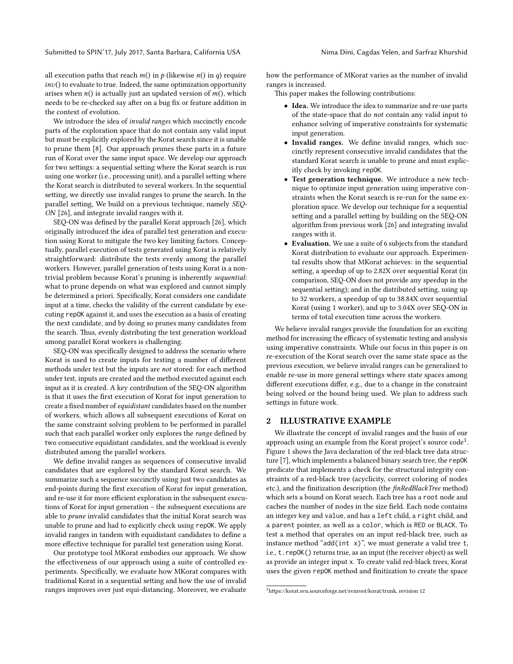Submitted to SPIN'17, July 2017, Santa Barbara, California USA Nima Nima Dini, Cagdas Yelen, and Sarfraz Khurshid

all execution paths that reach  $m()$  in  $p$  (likewise  $n()$  in  $q)$  require  $inv()$  to evaluate to true. Indeed, the same optimization opportunity arises when  $n()$  is actually just an updated version of  $m()$ , which needs to be re-checked say after on a bug fix or feature addition in the context of evolution.

We introduce the idea of invalid ranges which succinctly encode parts of the exploration space that do not contain any valid input but must be explicitly explored by the Korat search since it is unable to prune them [\[8\]](#page-8-6). Our approach prunes these parts in a future run of Korat over the same input space. We develop our approach for two settings: a sequential setting where the Korat search is run using one worker (i.e., processing unit), and a parallel setting where the Korat search is distributed to several workers. In the sequential setting, we directly use invalid ranges to prune the search. In the parallel setting, We build on a previous technique, namely SEQ-ON [\[26\]](#page-9-6), and integrate invalid ranges with it.

SEQ-ON was defined by the parallel Korat approach [\[26\]](#page-9-6), which originally introduced the idea of parallel test generation and execution using Korat to mitigate the two key limiting factors. Conceptually, parallel execution of tests generated using Korat is relatively straightforward: distribute the tests evenly among the parallel workers. However, parallel generation of tests using Korat is a nontrivial problem because Korat's pruning is inherently sequential: what to prune depends on what was explored and cannot simply be determined a priori. Specifically, Korat considers one candidate input at a time, checks the validity of the current candidate by executing repOK against it, and uses the execution as a basis of creating the next candidate, and by doing so prunes many candidates from the search. Thus, evenly distributing the test generation workload among parallel Korat workers is challenging.

SEQ-ON was specifically designed to address the scenario where Korat is used to create inputs for testing a number of different methods under test but the inputs are not stored: for each method under test, inputs are created and the method executed against each input as it is created. A key contribution of the SEQ-ON algorithm is that it uses the first execution of Korat for input generation to create a fixed number of equidistant candidates based on the number of workers, which allows all subsequent executions of Korat on the same constraint solving problem to be performed in parallel such that each parallel worker only explores the range defined by two consecutive equidistant candidates, and the workload is evenly distributed among the parallel workers.

We define invalid ranges as sequences of consecutive invalid candidates that are explored by the standard Korat search. We summarize such a sequence succinctly using just two candidates as end-points during the first execution of Korat for input generation, and re-use it for more efficient exploration in the subsequent executions of Korat for input generation – the subsequent executions are able to prune invalid candidates that the initial Korat search was unable to prune and had to explicitly check using repOK. We apply invalid ranges in tandem with equidistant candidates to define a more effective technique for parallel test generation using Korat.

Our prototype tool MKorat embodies our approach. We show the effectiveness of our approach using a suite of controlled experiments. Specifically, we evaluate how MKorat compares with traditional Korat in a sequential setting and how the use of invalid ranges improves over just equi-distancing. Moreover, we evaluate

how the performance of MKorat varies as the number of invalid ranges is increased.

This paper makes the following contributions:

- Idea. We introduce the idea to summarize and re-use parts of the state-space that do not contain any valid input to enhance solving of imperative constraints for systematic input generation.
- Invalid ranges. We define invalid ranges, which succinctly represent consecutive invalid candidates that the standard Korat search is unable to prune and must explicitly check by invoking repOK.
- Test generation technique. We introduce a new technique to optimize input generation using imperative constraints when the Korat search is re-run for the same exploration space. We develop our technique for a sequential setting and a parallel setting by building on the SEQ-ON algorithm from previous work [\[26\]](#page-9-6) and integrating invalid ranges with it.
- Evaluation. We use a suite of 6 subjects from the standard Korat distribution to evaluate our approach. Experimental results show that MKorat achieves: in the sequential setting, a speedup of up to 2.82X over sequential Korat (in comparison, SEQ-ON does not provide any speedup in the sequential setting); and in the distributed setting, using up to 32 workers, a speedup of up to 38.84X over sequential Korat (using 1 worker), and up to 3.04X over SEQ-ON in terms of total execution time across the workers.

We believe invalid ranges provide the foundation for an exciting method for increasing the efficacy of systematic testing and analysis using imperative constraints. While our focus in this paper is on re-execution of the Korat search over the same state space as the previous execution, we believe invalid ranges can be generalized to enable re-use in more general settings where state spaces among different executions differ, e.g., due to a change in the constraint being solved or the bound being used. We plan to address such settings in future work.

## <span id="page-1-1"></span>2 ILLUSTRATIVE EXAMPLE

We illustrate the concept of invalid ranges and the basis of our approach using an example from the Korat project's source code<sup>[1](#page-1-0)</sup>. Figure [1](#page-2-0) shows the Java declaration of the red-black tree data structure [\[7\]](#page-8-7), which implements a balanced binary search tree, the repOK predicate that implements a check for the structural integrity constraints of a red-black tree (acyclicity, correct coloring of nodes etc.), and the finitization description (the  $\emph{finRedBlackTree}$  method) which sets a bound on Korat search. Each tree has a root node and caches the number of nodes in the size field. Each node contains an integer key and value, and has a left child, a right child, and a parent pointer, as well as a color, which is RED or BLACK. To test a method that operates on an input red-black tree, such as instance method "add(int  $x$ )", we must generate a valid tree t, i.e., t.repOK() returns true, as an input (the receiver object) as well as provide an integer input x. To create valid red-black trees, Korat uses the given repOK method and finitization to create the space

<span id="page-1-0"></span> $1$ https://korat.svn.sourceforge.net/svnroot/korat/trunk, revision 12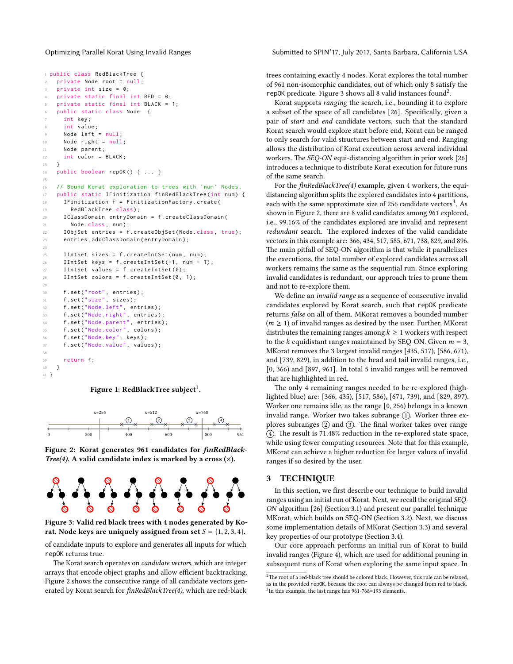```
1 public class RedBlackTree {
2 private Node root = null ;
    private int size = 0;
    private static final int RED = 0;
    private static final int BLACK = 1;
    public static class Node {
      int key;
      int value;
      Node left = null;
10 Node right = null ;
11 Node parent ;
12 int color = BLACK;
13 }
14 public boolean repOK () { ... }
15
16 // Bound Korat exploration to trees with 'num' Nodes.
17 public static IFinitization finRedBlackTree(int num) {
18 IFinitization f = FinitizationFactory . create (
19 RedBlackTree.class);
20 IClassDomain entryDomain = f . createClassDomain (
21 Node .class , num ) ;
22 IObjSet entries = f . createObjSet ( Node .class , true ) ;
23 entries . addClassDomain ( entryDomain ) ;
24
25 IIntSet sizes = f . createIntSet ( num , num ) ;
26 IIntSet keys = f.createIntSet(-1, num - 1);
27 IIntSet values = f. createIntSet (0);
28 IIntSet colors = f.createIntSet (0, 1);
29
30 f.set ("root", entries);
31 f . set (" size ", sizes ) ;
32 f . set (" Node . left ", entries ) ;
33 f.set ("Node.right", entries);
34 f . set (" Node . parent ", entries ) ;
35 f . set (" Node . color ", colors ) ;
36 f . set (" Node . key", keys ) ;
37 f.set ("Node.value", values);
38
39 return f;
40 }
41 }
```
Figure [1](#page-1-0): RedBlackTree subject $^{\rm 1}$ .

<span id="page-2-1"></span>

Figure 2: Korat generates 961 candidates for finRedBlack-Tree(4). A valid candidate index is marked by a cross  $(\times)$ .

<span id="page-2-2"></span>

Figure 3: Valid red black trees with 4 nodes generated by Korat. Node keys are uniquely assigned from set  $S = \{1, 2, 3, 4\}.$ 

of candidate inputs to explore and generates all inputs for which repOK returns true.

The Korat search operates on candidate vectors, which are integer arrays that encode object graphs and allow efficient backtracking. Figure [2](#page-2-1) shows the consecutive range of all candidate vectors generated by Korat search for finRedBlackTree(4), which are red-black

trees containing exactly 4 nodes. Korat explores the total number of 961 non-isomorphic candidates, out of which only 8 satisfy the rep0K predicate. Figure [3](#page-2-2) shows all 8 valid instances found<sup>[2](#page-2-3)</sup>.

Korat supports ranging the search, i.e., bounding it to explore a subset of the space of all candidates [\[26\]](#page-9-6). Specifically, given a pair of start and end candidate vectors, such that the standard Korat search would explore start before end, Korat can be ranged to only search for valid structures between start and end. Ranging allows the distribution of Korat execution across several individual workers. The SEQ-ON equi-distancing algorithm in prior work [\[26\]](#page-9-6) introduces a technique to distribute Korat execution for future runs of the same search.

For the  $\hat{n}$ RedBlackTree(4) example, given 4 workers, the equidistancing algorithm splits the explored candidates into 4 partitions, each with the same approximate size of 256 candidate vectors<sup>[3](#page-2-4)</sup>. As shown in Figure [2,](#page-2-1) there are 8 valid candidates among 961 explored, i.e., 99.16% of the candidates explored are invalid and represent redundant search. The explored indexes of the valid candidate vectors in this example are: 366, 434, 517, 585, 671, 738, 829, and 896. The main pitfall of SEQ-ON algorithm is that while it parallelizes the executions, the total number of explored candidates across all workers remains the same as the sequential run. Since exploring invalid candidates is redundant, our approach tries to prune them and not to re-explore them.

We define an *invalid range* as a sequence of consecutive invalid candidates explored by Korat search, such that repOK predicate returns false on all of them. MKorat removes a bounded number  $(m \ge 1)$  of invalid ranges as desired by the user. Further, MKorat distributes the remaining ranges among  $k \geq 1$  workers with respect to the  $k$  equidistant ranges maintained by SEQ-ON. Given  $m = 3$ , MKorat removes the 3 largest invalid ranges [435, 517), [586, 671), and [739, 829), in addition to the head and tail invalid ranges, i.e., [0, 366) and [897, 961]. In total 5 invalid ranges will be removed that are highlighted in red.

The only 4 remaining ranges needed to be re-explored (highlighted blue) are: [366, 435), [517, 586), [671, 739), and [829, 897). Worker one remains idle, as the range [0, 256) belongs in a known invalid range. Worker two takes subrange (1). Worker three explores subranges  $(2)$  and  $(3)$ . The final worker takes over range 4). The result is 71.48% reduction in the re-explored state space, while using fewer computing resources. Note that for this example, MKorat can achieve a higher reduction for larger values of invalid ranges if so desired by the user.

## 3 TECHNIQUE

In this section, we first describe our technique to build invalid ranges using an initial run of Korat. Next, we recall the original SEQ-ON algorithm [\[26\]](#page-9-6) (Section [3.1\)](#page-3-0) and present our parallel technique MKorat, which builds on SEQ-ON (Section [3.2\)](#page-3-1). Next, we discuss some implementation details of MKorat (Section [3.3\)](#page-4-0) and several key properties of our prototype (Section [3.4\)](#page-4-1).

Our core approach performs an initial run of Korat to build invalid ranges (Figure [4\)](#page-3-2), which are used for additional pruning in subsequent runs of Korat when exploring the same input space. In

<span id="page-2-4"></span><span id="page-2-3"></span> $^{2}$ The root of a red-black tree should be colored black. However, this rule can be relaxed, as in the provided repOK, because the root can always be changed from red to black. <sup>3</sup>In this example, the last range has 961-768=193 elements.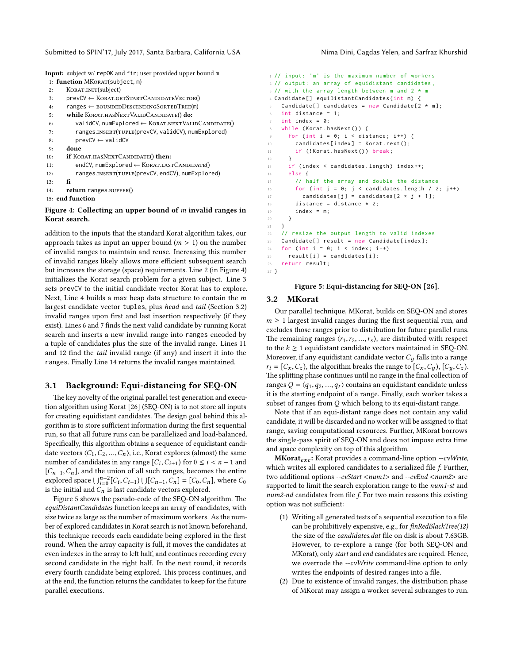Submitted to SPIN'17, July 2017, Santa Barbara, California USA Nima Dini, Cagdas Yelen, and Sarfraz Khurshid

<span id="page-3-2"></span>Input: subject w/ repOK and fin; user provided upper bound m

1: function MKorar(subject, m)

```
2: KORAT.INIT(subject)
3: prevCV ← KORAT.GETSTARTCANDIDATEVECTOR()
```
<span id="page-3-5"></span><span id="page-3-4"></span>

```
4: ranges ← BOUNDEDDESCENDINGSORTEDTREE(m)<br>5: while KORAT.HASNEXTVALIDCANDIDATE() do:
        while KORAT.HASNEXTVALIDCANDIDATE() do:
```
- 
- <span id="page-3-7"></span><span id="page-3-6"></span>6: validCV, numExplored ← KORAT.NEXTVALIDCANDIDATE()<br>7: ranges INSERT(TUPLE(DrevCV validCV) numExplored) ranges.INSERT(TUPLE(prevCV, validCV), numExplored)
- 8: prevCV  $\leftarrow$  validCV<br>9: **done**
- done
- 10: if KORAT.HASNEXTCANDIDATE() then:
- <span id="page-3-8"></span>
- <span id="page-3-9"></span>11: endCV, numExplored ← Korat.LastCandidate()<br>12: canges INSERT(TUPLE(DrevCV endCV) numExplor ranges.insert(TUPLE(prevCV, endCV), numExplored)
- 13: **fi**

```
14: return ranges.BUFFER()
```
15: end function

## Figure 4: Collecting an upper bound of m invalid ranges in Korat search.

addition to the inputs that the standard Korat algorithm takes, our approach takes as input an upper bound ( $m > 1$ ) on the number of invalid ranges to maintain and reuse. Increasing this number of invalid ranges likely allows more efficient subsequent search but increases the storage (space) requirements. Line [2](#page-3-3) (in Figure [4\)](#page-3-2) initializes the Korat search problem for a given subject. Line [3](#page-3-4) sets prevCV to the initial candidate vector Korat has to explore. Next, Line [4](#page-3-5) builds a max heap data structure to contain the m largest candidate vector tuples, plus head and tail (Section [3.2\)](#page-3-1) invalid ranges upon first and last insertion respectively (if they exist). Lines [6](#page-3-6) and [7](#page-3-7) finds the next valid candidate by running Korat search and inserts a new invalid range into ranges encoded by a tuple of candidates plus the size of the invalid range. Lines [11](#page-3-8) and [12](#page-3-9) find the tail invalid range (if any) and insert it into the ranges. Finally Line [14](#page-3-10) returns the invalid ranges maintained.

# <span id="page-3-0"></span>3.1 Background: Equi-distancing for SEQ-ON

The key novelty of the original parallel test generation and execution algorithm using Korat [\[26\]](#page-9-6) (SEQ-ON) is to not store all inputs for creating equidistant candidates. The design goal behind this algorithm is to store sufficient information during the first sequential run, so that all future runs can be parallelized and load-balanced. Specifically, this algorithm obtains a sequence of equidistant candidate vectors  $\langle C_1, C_2, ..., C_n \rangle$ , i.e., Korat explores (almost) the same number of candidates in any range  $[C_i, C_{i+1})$  for  $0 \le i < n - 1$  and  $[C_i, C_i]$  and the union of all such ranges, becomes the entire  $[C_{n-1},C_n]$ , and the union of all such ranges, becomes the entire explored space  $\bigcup_{i=0}^{n-2} [C_i, C_{i+1}) \bigcup [C_{n-1}, C_n] = [C_0, C_n]$ , where  $C_0$ <br>is the initial and  $C_0$  is last candidate vectors explored Explored space  $\bigcup_{i=0}$  [C<sub>i</sub>, C<sub>i+1</sub>]  $\bigcup$ [C<sub>n-1</sub>, C<sub>n</sub>] = [C<sub>0</sub>, C<sub>n</sub><br>is the initial and  $C_n$  is last candidate vectors explored.

Figure [5](#page-3-11) shows the pseudo-code of the SEQ-ON algorithm. The equiDistantCandidates function keeps an array of candidates, with size twice as large as the number of maximum workers. As the number of explored candidates in Korat search is not known beforehand, this technique records each candidate being explored in the first round. When the array capacity is full, it moves the candidates at even indexes in the array to left half, and continues recording every second candidate in the right half. In the next round, it records every fourth candidate being explored. This process continues, and at the end, the function returns the candidates to keep for the future parallel executions.

```
1 // input: 'm' is the maximum number of workers
2 // output: an array of equidistant candidates,
3 // with the array length between m and 2 * m4 Candidate [] equiDistantCandidates ( int m ) {
   Candidate [] candidates = new Candidate [2 \times m];
    int distance = 1;
    int index = 0:
    while (Korat.hasNext()) {
      for (int i = 0; i < distance; i++) {
10 candidates[index] = Korat.next();
11 if (!Korat.hasNext()) break;
12   }
13 if (index < candidates.length) index ++;
14 else {
15 // half the array and double the distance
16 for (int j = 0; j < candidates length / 2; j++)17 candidates [j] = candidates [2 \times j + 1];
18 distance = distance * 2;
19 index = m;
20 }
21 }
22 // resize the output length to valid indexes
23 Candidate [] result = new Candidate [index];
24 for (int i = 0; i < index; i++)25 result[i] = candidates[i];
26 return result ;
27 }
```
#### Figure 5: Equi-distancing for SEQ-ON [\[26\]](#page-9-6).

## <span id="page-3-1"></span>3.2 MKorat

Our parallel technique, MKorat, builds on SEQ-ON and stores  $m \geq 1$  largest invalid ranges during the first sequential run, and excludes those ranges prior to distribution for future parallel runs. The remaining ranges  $\langle r_1, r_2, ..., r_s \rangle$ , are distributed with respect to the  $k \geq 1$  equidistant candidate vectors maintained in SEQ-ON. Moreover, if any equidistant candidate vector  $C_y$  falls into a range  $r_i = [C_x, C_z)$ , the algorithm breaks the range to  $[C_x, C_y)$ ,  $[C_y, C_z)$ . The splitting phase continues until no range in the final collection of ranges  $Q = \langle q_1, q_2, ..., q_t \rangle$  contains an equidistant candidate unless it is the starting endpoint of a range. Finally, each worker takes a subset of ranges from Q which belong to its equi-distant range.

Note that if an equi-distant range does not contain any valid candidate, it will be discarded and no worker will be assigned to that range, saving computational resources. Further, MKorat borrows the single-pass spirit of SEQ-ON and does not impose extra time and space complexity on top of this algorithm.

**MKorat**<sub>exc</sub>: Korat provides a command-line option  $-cvWrite$ , which writes all explored candidates to a serialized file  $f$ . Further, two additional options --cvStart <num1> and --cvEnd <num2> are supported to limit the search exploration range to the *num1-st* and  $num2-nd$  candidates from file  $f$ . For two main reasons this existing option was not sufficient:

- $(1)$  Writing all generated tests of a sequential execution to a file can be prohibitively expensive, e.g., for finRedBlackTree(12) the size of the candidates.dat file on disk is about 7.63GB. However, to re-explore a range (for both SEQ-ON and MKorat), only start and end candidates are required. Hence, we overrode the --cvWrite command-line option to only writes the endpoints of desired ranges into a file.
- Due to existence of invalid ranges, the distribution phase of MKorat may assign a worker several subranges to run.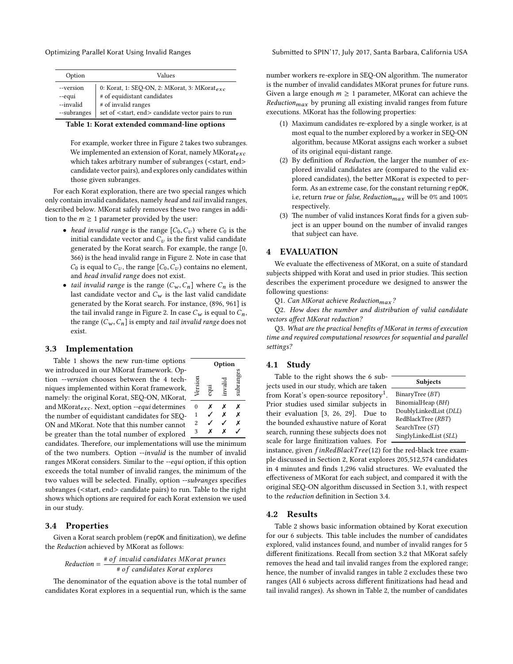<span id="page-4-2"></span>

| Option                                          | Values                                                                                                                                                                    |
|-------------------------------------------------|---------------------------------------------------------------------------------------------------------------------------------------------------------------------------|
| --version<br>--equi<br>--invalid<br>--subranges | 0: Korat, 1: SEQ-ON, 2: MKorat, 3: MKorat $_{exc}$<br># of equidistant candidates<br># of invalid ranges<br>set of <start, end=""> candidate vector pairs to run</start,> |
|                                                 |                                                                                                                                                                           |

#### Table 1: Korat extended command-line options

For example, worker three in Figure [2](#page-2-1) takes two subranges. We implemented an extension of Korat, namely MKorat $_{exc}$ which takes arbitrary number of subranges (<start, end> candidate vector pairs), and explores only candidates within those given subranges.

For each Korat exploration, there are two special ranges which only contain invalid candidates, namely head and tail invalid ranges, described below. MKorat safely removes these two ranges in addition to the  $m \geq 1$  parameter provided by the user:

- head invalid range is the range  $[C_0, C_v)$  where  $C_0$  is the initial candidate vector and  $C_{\upsilon}$  is the first valid candidate generated by the Korat search. For example, the range [0, 366) is the head invalid range in Figure [2.](#page-2-1) Note in case that  $C_0$  is equal to  $C_v$ , the range  $[C_0, C_v)$  contains no element, and head invalid range does not exist.
- tail invalid range is the range  $(C_w, C_n]$  where  $C_n$  is the last candidate vector and  $C_w$  is the last valid candidate generated by the Korat search. For instance, (896, 961] is the tail invalid range in Figure [2.](#page-2-1) In case  $C_w$  is equal to  $C_n$ , the range  $(C_w, C_n]$  is empty and *tail invalid range* does not exist.

#### <span id="page-4-0"></span>3.3 Implementation

Table [1](#page-4-2) shows the new run-time options we introduced in our MKorat framework. Option --version chooses between the 4 techniques implemented within Korat framework, namely: the original Korat, SEQ-ON, MKorat, and MKorat $_{exc}$ . Next, option --equi determines the number of equidistant candidates for SEQ-ON and MKorat. Note that this number cannot be greater than the total number of explored

|                | Option |         |           |  |  |  |  |  |  |  |
|----------------|--------|---------|-----------|--|--|--|--|--|--|--|
| Version        | equi   | invalid | subranges |  |  |  |  |  |  |  |
| 0              | х      | х       | х         |  |  |  |  |  |  |  |
| 1              |        | Х       | X         |  |  |  |  |  |  |  |
|                |        |         |           |  |  |  |  |  |  |  |
| $\overline{c}$ |        |         | X         |  |  |  |  |  |  |  |

candidates. Therefore, our implementations will use the minimum of the two numbers. Option --invalid is the number of invalid ranges MKorat considers. Similar to the --equi option, if this option exceeds the total number of invalid ranges, the minimum of the two values will be selected. Finally, option --subranges specifies subranges (<start, end> candidate pairs) to run. Table to the right shows which options are required for each Korat extension we used in our study.

#### <span id="page-4-1"></span>3.4 Properties

Given a Korat search problem (repOK and finitization), we define the Reduction achieved by MKorat as follows:

Reduction = 
$$
\frac{\text{# of invalid candidates MKorat prunes}}{\text{# of candidates Korat explores}}
$$

 $*$  of candidates Korat explores<br>The denominator of the equation above is the total number of candidates Korat explores in a sequential run, which is the same

Optimizing Parallel Korat Using Invalid Ranges Submitted to SPIN'17, July 2017, Santa Barbara, California USA

number workers re-explore in SEQ-ON algorithm. The numerator is the number of invalid candidates MKorat prunes for future runs. Given a large enough  $m \geq 1$  parameter, MKorat can achieve the  $Reduction_{max}$  by pruning all existing invalid ranges from future executions. MKorat has the following properties:

- (1) Maximum candidates re-explored by a single worker, is at most equal to the number explored by a worker in SEQ-ON algorithm, because MKorat assigns each worker a subset of its original equi-distant range.
- (2) By definition of Reduction, the larger the number of explored invalid candidates are (compared to the valid explored candidates), the better MKorat is expected to perform. As an extreme case, for the constant returning repOK, i.e, return true or false, Reduction $_{max}$  will be 0% and 100% respectively.
- (3) The number of valid instances Korat finds for a given subject is an upper bound on the number of invalid ranges that subject can have.

#### 4 EVALUATION

We evaluate the effectiveness of MKorat, on a suite of standard subjects shipped with Korat and used in prior studies. This section describes the experiment procedure we designed to answer the following questions:

Q1. Can MKorat achieve Reduction $_{max}$ ?

Q2. How does the number and distribution of valid candidate vectors affect MKorat reduction?

Q3. What are the practical benefits of MKorat in terms of execution time and required computational resources for sequential and parallel settings?

### 4.1 Study

Table to the right shows the 6 subjects used in our study, which are taken from Korat's open-source repository<sup>[1](#page-1-0)</sup>. Prior studies used similar subjects in their evaluation [\[3,](#page-8-1) [26,](#page-9-6) [29\]](#page-9-8). Due to the bounded exhaustive nature of Korat search, running these subjects does not scale for large finitization values. For



instance, given  $finRedBlackTree(12)$  for the red-black tree example discussed in Section [2,](#page-1-1) Korat explores 205,512,574 candidates in 4 minutes and finds 1,296 valid structures. We evaluated the effectiveness of MKorat for each subject, and compared it with the original SEQ-ON algorithm discussed in Section [3.1,](#page-3-0) with respect to the *reduction* definition in Section [3.4.](#page-4-1)

#### 4.2 Results

Table [2](#page-5-0) shows basic information obtained by Korat execution for our 6 subjects. This table includes the number of candidates explored, valid instances found, and number of invalid ranges for 5 different finitizations. Recall from section [3.2](#page-3-1) that MKorat safely removes the head and tail invalid ranges from the explored range; hence, the number of invalid ranges in table [2](#page-5-0) excludes these two ranges (All 6 subjects across different finitizations had head and tail invalid ranges). As shown in Table [2,](#page-5-0) the number of candidates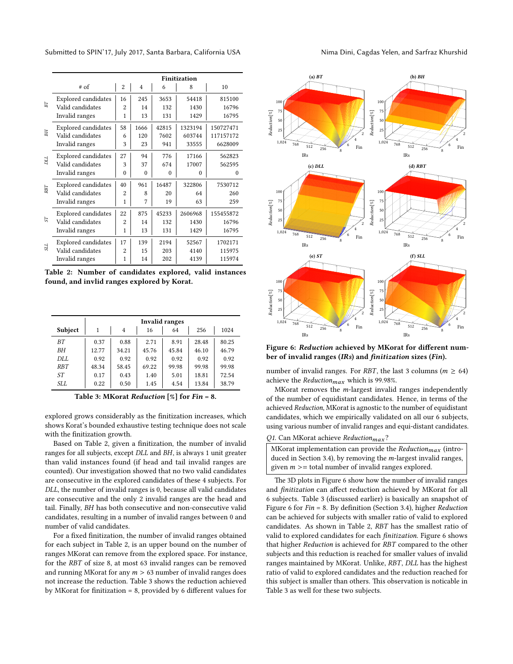Submitted to SPIN'17, July 2017, Santa Barbara, California USA Nima Nima Dini, Cagdas Yelen, and Sarfraz Khurshid

<span id="page-5-0"></span>

|            |                            | <b>Finitization</b> |          |       |         |           |  |  |  |  |
|------------|----------------------------|---------------------|----------|-------|---------|-----------|--|--|--|--|
|            | # of                       | $\overline{2}$      | 4        | 6     | 8       | 10        |  |  |  |  |
|            | <b>Explored candidates</b> | 16                  | 245      | 3653  | 54418   | 815100    |  |  |  |  |
| БT         | Valid candidates           | 2                   | 14       | 132   | 1430    | 16796     |  |  |  |  |
|            | Invalid ranges             | 1                   | 13       | 131   | 1429    | 16795     |  |  |  |  |
|            | <b>Explored candidates</b> | 58                  | 1666     | 42815 | 1323194 | 150727471 |  |  |  |  |
| ΒН         | Valid candidates           | 6                   | 120      | 7602  | 603744  | 117157172 |  |  |  |  |
|            | Invalid ranges             | 3                   | 23       | 941   | 33555   | 6628009   |  |  |  |  |
| DLL        | <b>Explored candidates</b> | 27                  | 94       | 776   | 17166   | 562823    |  |  |  |  |
|            | Valid candidates           | 3                   | 37       | 674   | 17007   | 562595    |  |  |  |  |
|            | Invalid ranges             | $\theta$            | $\theta$ | 0     | 0       | $\Omega$  |  |  |  |  |
| RBT        | <b>Explored candidates</b> | 40                  | 961      | 16487 | 322806  | 7530712   |  |  |  |  |
|            | Valid candidates           | 2                   | 8        | 20    | 64      | 260       |  |  |  |  |
|            | Invalid ranges             | 1                   | 7        | 19    | 63      | 259       |  |  |  |  |
|            | <b>Explored candidates</b> | 22                  | 875      | 45233 | 2606968 | 155455872 |  |  |  |  |
| 57         | Valid candidates           | 2                   | 14       | 132   | 1430    | 16796     |  |  |  |  |
|            | Invalid ranges             | 1                   | 13       | 131   | 1429    | 16795     |  |  |  |  |
|            | <b>Explored candidates</b> | 17                  | 139      | 2194  | 52567   | 1702171   |  |  |  |  |
| <b>TTS</b> | Valid candidates           | 2                   | 15       | 203   | 4140    | 115975    |  |  |  |  |
|            | Invalid ranges             | 1                   | 14       | 202   | 4139    | 115974    |  |  |  |  |

Table 2: Number of candidates explored, valid instances found, and invlid ranges explored by Korat.

<span id="page-5-1"></span>

|            | <b>Invalid ranges</b> |                |       |       |       |       |  |  |  |  |
|------------|-----------------------|----------------|-------|-------|-------|-------|--|--|--|--|
| Subject    | 1                     | $\overline{4}$ | 16    | 64    | 256   | 1024  |  |  |  |  |
| BТ         | 0.37                  | 0.88           | 2.71  | 8.91  | 28.48 | 80.25 |  |  |  |  |
| <b>BH</b>  | 12.77                 | 34.21          | 45.76 | 45.84 | 46.10 | 46.79 |  |  |  |  |
| DLL.       | 0.92                  | 0.92           | 0.92  | 0.92  | 0.92  | 0.92  |  |  |  |  |
| <b>RBT</b> | 48.34                 | 58.45          | 69.22 | 99.98 | 99.98 | 99.98 |  |  |  |  |
| ST         | 0.17                  | 0.43           | 1.40  | 5.01  | 18.81 | 72.54 |  |  |  |  |
| SLL.       | 0.22                  | 0.50           | 1.45  | 4.54  | 13.84 | 38.79 |  |  |  |  |

Table 3: MKorat Reduction  $[\%]$  for Fin = 8.

explored grows considerably as the finitization increases, which shows Korat's bounded exhaustive testing technique does not scale with the finitization growth.

Based on Table [2,](#page-5-0) given a finitization, the number of invalid ranges for all subjects, except DLL and BH, is always 1 unit greater than valid instances found (if head and tail invalid ranges are counted). Our investigation showed that no two valid candidates are consecutive in the explored candidates of these 4 subjects. For DLL, the number of invalid ranges is 0, because all valid candidates are consecutive and the only 2 invalid ranges are the head and tail. Finally, BH has both consecutive and non-consecutive valid candidates, resulting in a number of invalid ranges between 0 and number of valid candidates.

For a fixed finitization, the number of invalid ranges obtained for each subject in Table [2,](#page-5-0) is an upper bound on the number of ranges MKorat can remove from the explored space. For instance, for the RBT of size 8, at most 63 invalid ranges can be removed and running MKorat for any  $m > 63$  number of invalid ranges does not increase the reduction. Table [3](#page-5-1) shows the reduction achieved by MKorat for finitization = 8, provided by 6 different values for

<span id="page-5-2"></span>

Figure 6: Reduction achieved by MKorat for different number of invalid ranges  $(IRs)$  and finitization sizes (Fin).

number of invalid ranges. For RBT, the last 3 columns ( $m \geq 64$ ) achieve the Reduction $_{max}$  which is 99.98%.

MKorat removes the m-largest invalid ranges independently of the number of equidistant candidates. Hence, in terms of the achieved Reduction, MKorat is agnostic to the number of equidistant candidates, which we empirically validated on all our 6 subjects, using various number of invalid ranges and equi-distant candidates.

Q1. Can MKorat achieve Reduction $_{max}$ ?

MKorat implementation can provide the Reduction $_{max}$  (intro-duced in Section [3.4\)](#page-4-1), by removing the *m*-largest invalid ranges, given  $m \ge$  total number of invalid ranges explored.

The 3D plots in Figure [6](#page-5-2) show how the number of invalid ranges and finitization can affect reduction achieved by MKorat for all 6 subjects. Table [3](#page-5-1) (discussed earlier) is basically an snapshot of Figure [6](#page-5-2) for  $Fin = 8$ . By definition (Section [3.4\)](#page-4-1), higher Reduction can be achieved for subjects with smaller ratio of valid to explored candidates. As shown in Table [2,](#page-5-0) RBT has the smallest ratio of valid to explored candidates for each *finitization*. Figure [6](#page-5-2) shows that higher Reduction is achieved for RBT compared to the other subjects and this reduction is reached for smaller values of invalid ranges maintained by MKorat. Unlike, RBT, DLL has the highest ratio of valid to explored candidates and the reduction reached for this subject is smaller than others. This observation is noticable in Table [3](#page-5-1) as well for these two subjects.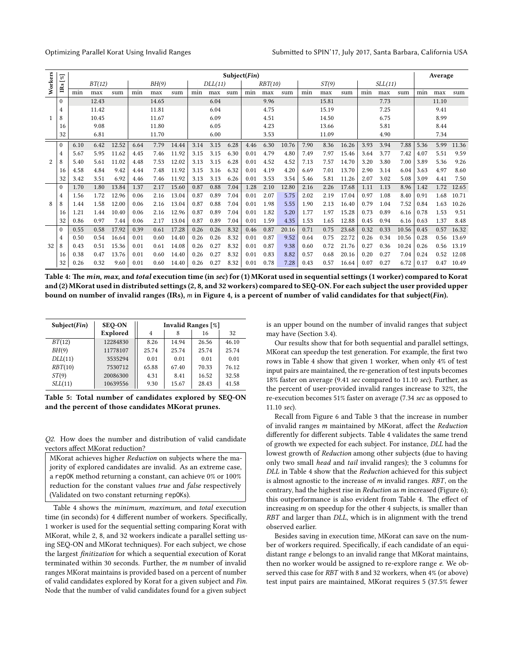<span id="page-6-0"></span>

|         |                  |                            |       | Subject $(Fin)$ |      |       |         |      |      |       |      |      |         |      | Average |       |      |      |       |      |       |       |
|---------|------------------|----------------------------|-------|-----------------|------|-------|---------|------|------|-------|------|------|---------|------|---------|-------|------|------|-------|------|-------|-------|
| Workers | $\text{IRs}$ [%] | BT(12)<br>BH(9)<br>DLL(11) |       |                 |      |       | RBT(10) |      |      | ST(9) |      |      | SLL(11) |      |         |       |      |      |       |      |       |       |
|         |                  | min                        | max   | sum             | min  | max   | sum     | min  | max  | sum   | min  | max  | sum     | min  | max     | sum   | min  | max  | sum   | min  | max   | sum   |
|         | $\Omega$         |                            | 12.43 |                 |      | 14.65 |         |      | 6.04 |       |      | 9.96 |         |      | 15.81   |       |      | 7.73 |       |      | 11.10 |       |
|         | $\overline{4}$   |                            | 11.42 |                 |      | 11.81 |         |      | 6.04 |       |      | 4.75 |         |      | 15.19   |       |      | 7.25 |       |      | 9.41  |       |
|         | 8                |                            | 10.45 |                 |      | 11.67 |         |      | 6.09 |       |      | 4.51 |         |      | 14.50   |       |      | 6.75 |       |      | 8.99  |       |
|         | 16               |                            | 9.08  |                 |      | 11.80 |         |      | 6.05 |       |      | 4.23 |         |      | 13.66   |       |      | 5.81 |       |      | 8.44  |       |
|         | 32               |                            | 6.81  |                 |      | 11.70 |         |      | 6.00 |       |      | 3.53 |         |      | 11.09   |       |      | 4.90 |       |      | 7.34  |       |
|         | $\theta$         | 6.10                       | 6.42  | 12.52           | 6.64 | 7.79  | 14.44   | 3.14 | 3.15 | 6.28  | 4.46 | 6.30 | 10.76   | 7.90 | 8.36    | 16.26 | 3.93 | 3.94 | 7.88  | 5.36 | 5.99  | 11.36 |
|         | 4                | 5.67                       | 5.95  | 11.62           | 4.45 | 7.46  | 11.92   | 3.15 | 3.15 | 6.30  | 0.01 | 4.79 | 4.80    | 7.49 | 7.97    | 15.46 | 3.64 | 3.77 | 7.42  | 4.07 | 5.51  | 9.59  |
| 2       | 8                | 5.40                       | 5.61  | 11.02           | 4.48 | 7.53  | 12.02   | 3.13 | 3.15 | 6.28  | 0.01 | 4.52 | 4.52    | 7.13 | 7.57    | 14.70 | 3.20 | 3.80 | 7.00  | 3.89 | 5.36  | 9.26  |
|         | 16               | 4.58                       | 4.84  | 9.42            | 4.44 | 7.48  | 11.92   | 3.15 | 3.16 | 6.32  | 0.01 | 4.19 | 4.20    | 6.69 | 7.01    | 13.70 | 2.90 | 3.14 | 6.04  | 3.63 | 4.97  | 8.60  |
|         | 32               | 3.42                       | 3.51  | 6.92            | 4.46 | 7.46  | 11.92   | 3.13 | 3.13 | 6.26  | 0.01 | 3.53 | 3.54    | 5.46 | 5.81    | 11.26 | 2.07 | 3.02 | 5.08  | 3.09 | 4.41  | 7.50  |
|         | $\theta$         | 1.70                       | 1.80  | 13.84           | 1.37 | 2.17  | 15.60   | 0.87 | 0.88 | 7.04  | 1.28 | 2.10 | 12.80   | 2.16 | 2.26    | 17.68 | 1.11 | 1.13 | 8.96  | 1.42 | 1.72  | 12.65 |
|         | 4                | 1.56                       | 1.72  | 12.96           | 0.06 | 2.16  | 13.04   | 0.87 | 0.89 | 7.04  | 0.01 | 2.07 | 5.75    | 2.02 | 2.19    | 17.04 | 0.97 | 1.08 | 8.40  | 0.91 | 1.68  | 10.71 |
| 8       | 8                | 1.44                       | 1.58  | 12.00           | 0.06 | 2.16  | 13.04   | 0.87 | 0.88 | 7.04  | 0.01 | 1.98 | 5.55    | 1.90 | 2.13    | 16.40 | 0.79 | 1.04 | 7.52  | 0.84 | 1.63  | 10.26 |
|         | 16               | 1.21                       | 1.44  | 10.40           | 0.06 | 2.16  | 12.96   | 0.87 | 0.89 | 7.04  | 0.01 | 1.82 | 5.20    | 1.77 | 1.97    | 15.28 | 0.73 | 0.89 | 6.16  | 0.78 | 1.53  | 9.51  |
|         | 32               | 0.86                       | 0.97  | 7.44            | 0.06 | 2.17  | 13.04   | 0.87 | 0.89 | 7.04  | 0.01 | 1.59 | 4.35    | 1.53 | 1.65    | 12.88 | 0.45 | 0.94 | 6.16  | 0.63 | 1.37  | 8.48  |
|         | $\Omega$         | 0.55                       | 0.58  | 17.92           | 0.39 | 0.61  | 17.28   | 0.26 | 0.26 | 8.32  | 0.46 | 0.87 | 20.16   | 0.71 | 0.75    | 23.68 | 0.32 | 0.33 | 10.56 | 0.45 | 0.57  | 16.32 |
|         | 4                | 0.50                       | 0.54  | 16.64           | 0.01 | 0.60  | 14.40   | 0.26 | 0.26 | 8.32  | 0.01 | 0.87 | 9.52    | 0.64 | 0.75    | 22.72 | 0.26 | 0.34 | 10.56 | 0.28 | 0.56  | 13.69 |
| 32      | 8                | 0.43                       | 0.51  | 15.36           | 0.01 | 0.61  | 14.08   | 0.26 | 0.27 | 8.32  | 0.01 | 0.87 | 9.38    | 0.60 | 0.72    | 21.76 | 0.27 | 0.36 | 10.24 | 0.26 | 0.56  | 13.19 |
|         | 16               | 0.38                       | 0.47  | 13.76           | 0.01 | 0.60  | 14.40   | 0.26 | 0.27 | 8.32  | 0.01 | 0.83 | 8.82    | 0.57 | 0.68    | 20.16 | 0.20 | 0.27 | 7.04  | 0.24 | 0.52  | 12.08 |
|         | 32               | 0.26                       | 0.32  | 9.60            | 0.01 | 0.60  | 14.40   | 0.26 | 0.27 | 8.32  | 0.01 | 0.78 | 7.28    | 0.43 | 0.57    | 16.64 | 0.07 | 0.27 | 6.72  | 0.17 | 0.47  | 10.49 |

Table 4: The min, max, and total execution time (in sec) for (1) MKorat used in sequential settings (1 worker) compared to Korat and (2) MKorat used in distributed settings (2, 8, and 32 workers) compared to SEQ-ON. For each subject the user provided upper bound on number of invalid ranges (IRs),  $m$  in Figure [4,](#page-3-2) is a percent of number of valid candidates for that subject( $Fin$ ).

<span id="page-6-1"></span>

| Subject(Fin) | <b>SEO-ON</b> |       |       | <b>Invalid Ranges</b> [%] |       |
|--------------|---------------|-------|-------|---------------------------|-------|
|              | Explored      | 4     | 8     | 16                        | 32    |
| BT(12)       | 12284830      | 8.26  | 14.94 | 26.56                     | 46.10 |
| BH(9)        | 11778107      | 25.74 | 25.74 | 25.74                     | 25.74 |
| DLL(11)      | 3535294       | 0.01  | 0.01  | 0.01                      | 0.01  |
| RBT(10)      | 7530712       | 65.88 | 67.40 | 70.33                     | 76.12 |
| ST(9)        | 20086300      | 4.31  | 8.41  | 16.52                     | 32.58 |
| SLL(11)      | 10639556      | 9.30  | 15.67 | 28.43                     | 41.58 |

Table 5: Total number of candidates explored by SEQ-ON and the percent of those candidates MKorat prunes.

Q2. How does the number and distribution of valid candidate vectors affect MKorat reduction?

MKorat achieves higher Reduction on subjects where the majority of explored candidates are invalid. As an extreme case, a repOK method returning a constant, can achieve 0% or 100% reduction for the constant values true and false respectively (Validated on two constant returning repOKs).

Table [4](#page-6-0) shows the minimum, maximum, and total execution time (in seconds) for 4 different number of workers. Specifically, 1 worker is used for the sequential setting comparing Korat with MKorat, while 2, 8, and 32 workers indicate a parallel setting using SEQ-ON and MKorat techniques). For each subject, we chose the largest finitization for which a sequential execution of Korat terminated within 30 seconds. Further, the m number of invalid ranges MKorat maintains is provided based on a percent of number of valid candidates explored by Korat for a given subject and Fin. Node that the number of valid candidates found for a given subject

is an upper bound on the number of invalid ranges that subject may have (Section [3.4\)](#page-4-1).

Our results show that for both sequential and parallel settings, MKorat can speedup the test generation. For example, the first two rows in Table [4](#page-6-0) show that given 1 worker, when only 4% of test input pairs are maintained, the re-generation of test inputs becomes 18% faster on average (9.41 sec compared to 11.10 sec). Further, as the percent of user-provided invalid ranges increase to 32%, the re-execution becomes 51% faster on average (7.34 sec as opposed to 11.10 sec).

Recall from Figure [6](#page-5-2) and Table [3](#page-5-1) that the increase in number of invalid ranges  $m$  maintained by MKorat, affect the Reduction differently for different subjects. Table [4](#page-6-0) validates the same trend of growth we expected for each subject. For instance, DLL had the lowest growth of Reduction among other subjects (due to having only two small head and tail invalid ranges); the 3 columns for DLL in Table [4](#page-6-0) show that the Reduction achieved for this subject is almost agnostic to the increase of m invalid ranges. RBT, on the contrary, had the highest rise in Reduction as  $m$  increased (Figure [6\)](#page-5-2); this outperformance is also evident from Table [4.](#page-6-0) The effect of increasing  $m$  on speedup for the other 4 subjects, is smaller than RBT and larger than DLL, which is in alignment with the trend observed earlier.

Besides saving in execution time, MKorat can save on the number of workers required. Specifically, if each candidate of an equidistant range e belongs to an invalid range that MKorat maintains, then no worker would be assigned to re-explore range e. We observed this case for RBT with 8 and 32 workers, when 4% (or above) test input pairs are maintained, MKorat requires 5 (37.5% fewer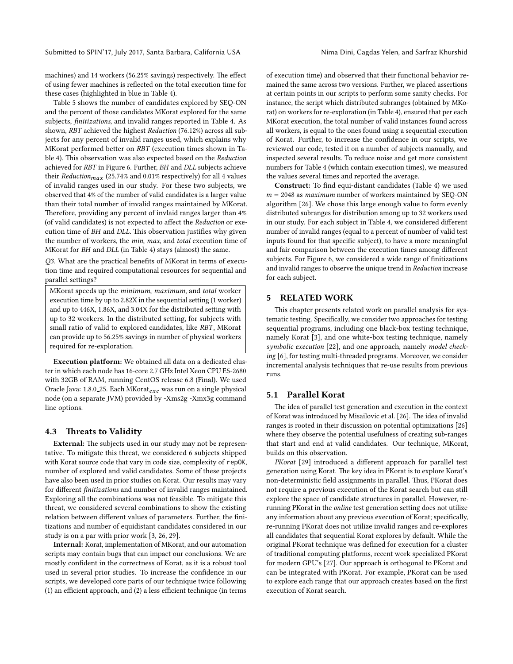Submitted to SPIN'17, July 2017, Santa Barbara, California USA Nima Nima Dini, Cagdas Yelen, and Sarfraz Khurshid

machines) and 14 workers (56.25% savings) respectively. The effect of using fewer machines is reflected on the total execution time for these cases (highlighted in blue in Table [4\)](#page-6-0).

Table [5](#page-6-1) shows the number of candidates explored by SEQ-ON and the percent of those candidates MKorat explored for the same subjects, finitizations, and invalid ranges reported in Table [4.](#page-6-0) As shown, RBT achieved the highest Reduction (76.12%) across all subjects for any percent of invalid ranges used, which explains why MKorat performed better on RBT (execution times shown in Ta-ble [4\)](#page-6-0). This observation was also expected based on the Reduction achieved for RBT in Figure [6.](#page-5-2) Further, BH and DLL subjects achieve their Reduction<sub>max</sub> (25.74% and 0.01% respectively) for all 4 values of invalid ranges used in our study. For these two subjects, we observed that 4% of the number of valid candidates is a larger value than their total number of invalid ranges maintained by MKorat. Therefore, providing any percent of invlaid ranges larger than 4% (of valid candidates) is not expected to affect the Reduction or execution time of BH and DLL. This observation justifies why given the number of workers, the min, max, and total execution time of MKorat for BH and DLL (in Table [4\)](#page-6-0) stays (almost) the same.

Q3. What are the practical benefits of MKorat in terms of execution time and required computational resources for sequential and parallel settings?

MKorat speeds up the minimum, maximum, and total worker execution time by up to 2.82X in the sequential setting (1 worker) and up to 446X, 1.86X, and 3.04X for the distributed setting with up to 32 workers. In the distributed setting, for subjects with small ratio of valid to explored candidates, like RBT, MKorat can provide up to 56.25% savings in number of physical workers required for re-exploration.

Execution platform: We obtained all data on a dedicated cluster in which each node has 16-core 2.7 GHz Intel Xeon CPU E5-2680 with 32GB of RAM, running CentOS release 6.8 (Final). We used Oracle Java: 1.8.0.25. Each MKorat $_{exc}$  was run on a single physical node (on a separate JVM) provided by -Xms2g -Xmx3g command line options.

## 4.3 Threats to Validity

External: The subjects used in our study may not be representative. To mitigate this threat, we considered 6 subjects shipped with Korat source code that vary in code size, complexity of repOK, number of explored and valid candidates. Some of these projects have also been used in prior studies on Korat. Our results may vary for different finitizations and number of invalid ranges maintained. Exploring all the combinations was not feasible. To mitigate this threat, we considered several combinations to show the existing relation between different values of parameters. Further, the finitizations and number of equidistant candidates considered in our study is on a par with prior work [\[3,](#page-8-1) [26,](#page-9-6) [29\]](#page-9-8).

Internal: Korat, implementation of MKorat, and our automation scripts may contain bugs that can impact our conclusions. We are mostly confident in the correctness of Korat, as it is a robust tool used in several prior studies. To increase the confidence in our scripts, we developed core parts of our technique twice following  $(1)$  an efficient approach, and  $(2)$  a less efficient technique (in terms of execution time) and observed that their functional behavior remained the same across two versions. Further, we placed assertions at certain points in our scripts to perform some sanity checks. For instance, the script which distributed subranges (obtained by MKorat) on workers for re-exploration (in Table [4\)](#page-6-0), ensured that per each MKorat execution, the total number of valid instances found across all workers, is equal to the ones found using a sequential execution of Korat. Further, to increase the confidence in our scripts, we reviewed our code, tested it on a number of subjects manually, and inspected several results. To reduce noise and get more consistent numbers for Table [4](#page-6-0) (which contain execution times), we measured the values several times and reported the average.

Construct: To find equi-distant candidates (Table [4\)](#page-6-0) we used  $m = 2048$  as *maximum* number of workers maintained by SEQ-ON algorithm [\[26\]](#page-9-6). We chose this large enough value to form evenly distributed subranges for distribution among up to 32 workers used in our study. For each subject in Table [4,](#page-6-0) we considered different number of invalid ranges (equal to a percent of number of valid test inputs found for that specific subject), to have a more meaningful and fair comparison between the execution times among different subjects. For Figure [6,](#page-5-2) we considered a wide range of finitizations and invalid ranges to observe the unique trend in Reduction increase for each subject.

#### 5 RELATED WORK

This chapter presents related work on parallel analysis for systematic testing. Specifically, we consider two approaches for testing sequential programs, including one black-box testing technique, namely Korat [\[3\]](#page-8-1), and one white-box testing technique, namely symbolic execution [\[22\]](#page-9-9), and one approach, namely model checking [\[6\]](#page-8-4), for testing multi-threaded programs. Moreover, we consider incremental analysis techniques that re-use results from previous runs.

#### 5.1 Parallel Korat

The idea of parallel test generation and execution in the context of Korat was introduced by Misailovic et al. [\[26\]](#page-9-6). The idea of invalid ranges is rooted in their discussion on potential optimizations [\[26\]](#page-9-6) where they observe the potential usefulness of creating sub-ranges that start and end at valid candidates. Our technique, MKorat, builds on this observation.

PKorat [\[29\]](#page-9-8) introduced a different approach for parallel test generation using Korat. The key idea in PKorat is to explore Korat's non-deterministic field assignments in parallel. Thus, PKorat does not require a previous execution of the Korat search but can still explore the space of candidate structures in parallel. However, rerunning PKorat in the online test generation setting does not utilize any information about any previous execution of Korat; specifically, re-running PKorat does not utilize invalid ranges and re-explores all candidates that sequential Korat explores by default. While the original PKorat technique was defined for execution for a cluster of traditional computing platforms, recent work specialized PKorat for modern GPU's [\[27\]](#page-9-10). Our approach is orthogonal to PKorat and can be integrated with PKorat. For example, PKorat can be used to explore each range that our approach creates based on the first execution of Korat search.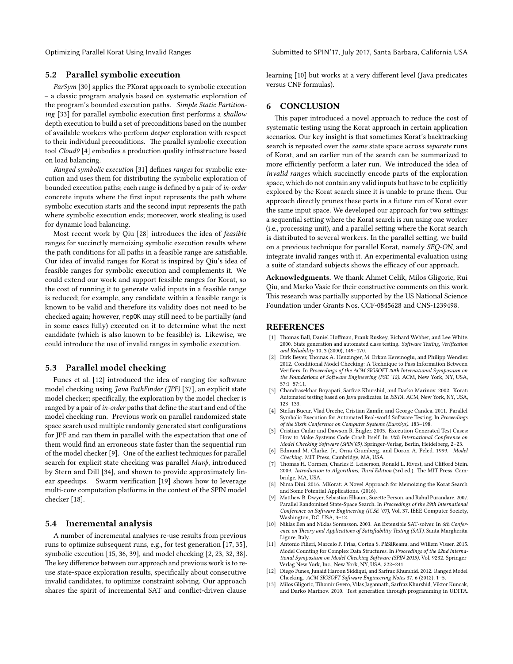Optimizing Parallel Korat Using Invalid Ranges Submitted to SPIN'17, July 2017, Santa Barbara, California USA

## 5.2 Parallel symbolic execution

ParSym [\[30\]](#page-9-11) applies the PKorat approach to symbolic execution – a classic program analysis based on systematic exploration of the program's bounded execution paths. Simple Static Partition-ing [\[33\]](#page-9-12) for parallel symbolic execution first performs a shallow depth execution to build a set of preconditions based on the number of available workers who perform deeper exploration with respect to their individual preconditions. The parallel symbolic execution tool Cloud9 [\[4\]](#page-8-8) embodies a production quality infrastructure based on load balancing.

Ranged symbolic execution [\[31\]](#page-9-13) defines ranges for symbolic execution and uses them for distributing the symbolic exploration of bounded execution paths; each range is defined by a pair of in-order concrete inputs where the first input represents the path where symbolic execution starts and the second input represents the path where symbolic execution ends; moreover, work stealing is used for dynamic load balancing.

Most recent work by Qiu [\[28\]](#page-9-14) introduces the idea of feasible ranges for succinctly memoizing symbolic execution results where the path conditions for all paths in a feasible range are satisfiable. Our idea of invalid ranges for Korat is inspired by Qiu's idea of feasible ranges for symbolic execution and complements it. We could extend our work and support feasible ranges for Korat, so the cost of running it to generate valid inputs in a feasible range is reduced; for example, any candidate within a feasible range is known to be valid and therefore its validity does not need to be checked again; however, repOK may still need to be partially (and in some cases fully) executed on it to determine what the next candidate (which is also known to be feasible) is. Likewise, we could introduce the use of invalid ranges in symbolic execution.

## 5.3 Parallel model checking

Funes et al. [\[12\]](#page-8-9) introduced the idea of ranging for software model checking using *Java PathFinder* (*JPF*) [\[37\]](#page-9-4), an explicit state model checker; specifically, the exploration by the model checker is ranged by a pair of in-order paths that define the start and end of the model checking run. Previous work on parallel randomized state space search used multiple randomly generated start configurations for JPF and ran them in parallel with the expectation that one of them would find an erroneous state faster than the sequential run of the model checker [\[9\]](#page-8-10). One of the earliest techniques for parallel search for explicit state checking was parallel *Murφ*, introduced by Stern and Dill [\[34\]](#page-9-15), and shown to provide approximately lin-ear speedups. Swarm verification [\[19\]](#page-9-16) shows how to leverage multi-core computation platforms in the context of the SPIN model checker [\[18\]](#page-9-17).

## 5.4 Incremental analysis

A number of incremental analyses re-use results from previous runs to optimize subsequent runs, e.g., for test generation [\[17,](#page-9-18) [35\]](#page-9-19), symbolic execution [\[15,](#page-9-20) [36,](#page-9-21) [39\]](#page-9-22), and model checking [\[2,](#page-8-11) [23,](#page-9-23) [32,](#page-9-24) [38\]](#page-9-25). The key difference between our approach and previous work is to reuse state-space exploration results, specifically about consecutive invalid candidates, to optimize constraint solving. Our approach shares the spirit of incremental SAT and conflict-driven clause

learning [\[10\]](#page-8-12) but works at a very different level (Java predicates versus CNF formulas).

## 6 CONCLUSION

This paper introduced a novel approach to reduce the cost of systematic testing using the Korat approach in certain application scenarios. Our key insight is that sometimes Korat's backtracking search is repeated over the *same* state space across separate runs of Korat, and an earlier run of the search can be summarized to more efficiently perform a later run. We introduced the idea of invalid ranges which succinctly encode parts of the exploration space, which do not contain any valid inputs but have to be explicitly explored by the Korat search since it is unable to prune them. Our approach directly prunes these parts in a future run of Korat over the same input space. We developed our approach for two settings: a sequential setting where the Korat search is run using one worker (i.e., processing unit), and a parallel setting where the Korat search is distributed to several workers. In the parallel setting, we build on a previous technique for parallel Korat, namely SEQ-ON, and integrate invalid ranges with it. An experimental evaluation using a suite of standard subjects shows the efficacy of our approach.

Acknowledgments. We thank Ahmet Celik, Milos Gligoric, Rui Qiu, and Marko Vasic for their constructive comments on this work. This research was partially supported by the US National Science Foundation under Grants Nos. CCF-0845628 and CNS-1239498.

# **REFERENCES**

- <span id="page-8-0"></span>[1] Thomas Ball, Daniel Hoffman, Frank Ruskey, Richard Webber, and Lee White. 2000. State generation and automated class testing. Software Testing, Verification and Reliability 10, 3 (2000), 149–170.
- <span id="page-8-11"></span>[2] Dirk Beyer, Thomas A. Henzinger, M. Erkan Keremoglu, and Philipp Wendler. 2012. Conditional Model Checking: A Technique to Pass Information Between Verifiers. In Proceedings of the ACM SIGSOFT 20th International Symposium on the Foundations of Software Engineering (FSE '12). ACM, New York, NY, USA, 57:1–57:11.
- <span id="page-8-1"></span>[3] Chandrasekhar Boyapati, Sarfraz Khurshid, and Darko Marinov. 2002. Korat: Automated testing based on Java predicates. In ISSTA. ACM, New York, NY, USA, 123–133.
- <span id="page-8-8"></span>[4] Stefan Bucur, Vlad Ureche, Cristian Zamfir, and George Candea. 2011. Parallel Symbolic Execution for Automated Real-world Software Testing. In Proceedings of the Sixth Conference on Computer Systems (EuroSys). 183–198.
- <span id="page-8-2"></span>[5] Cristian Cadar and Dawson R. Engler. 2005. Execution Generated Test Cases: How to Make Systems Code Crash Itself. In 12th International Conference on Model Checking Software (SPIN'05). Springer-Verlag, Berlin, Heidelberg, 2-23.
- <span id="page-8-4"></span>[6] Edmund M. Clarke, Jr., Orna Grumberg, and Doron A. Peled. 1999. Model Checking. MIT Press, Cambridge, MA, USA.
- <span id="page-8-7"></span>[7] Thomas H. Cormen, Charles E. Leiserson, Ronald L. Rivest, and Clifford Stein. 2009. Introduction to Algorithms, Third Edition (3rd ed.). The MIT Press, Cambridge, MA, USA.
- <span id="page-8-6"></span>Nima Dini. 2016. MKorat: A Novel Approach for Memoizing the Korat Search and Some Potential Applications. (2016).
- <span id="page-8-10"></span>[9] Matthew B. Dwyer, Sebastian Elbaum, Suzette Person, and Rahul Purandare. 2007. Parallel Randomized State-Space Search. In Proceedings of the 29th International Conference on Software Engineering (ICSE '07), Vol. 37. IEEE Computer Society, Washington, DC, USA, 3–12.
- <span id="page-8-12"></span>[10] Niklas Een and Niklas Sorensson. 2003. An Extensible SAT-solver. In 6th Conference on Theory and Applications of Satisfiability Testing (SAT). Santa Margherita Ligure, Italy.
- <span id="page-8-5"></span>[11] Antonio Filieri, Marcelo F. Frias, Corina S. PăSăReanu, and Willem Visser. 2015. Model Counting for Complex Data Structures. In Proceedings of the 22nd International Symposium on Model Checking Software (SPIN 2015), Vol. 9232. Springer-Verlag New York, Inc., New York, NY, USA, 222–241.
- <span id="page-8-9"></span>[12] Diego Funes, Junaid Haroon Siddiqui, and Sarfraz Khurshid. 2012. Ranged Model Checking. ACM SIGSOFT Software Engineering Notes 37, 6 (2012), 1-5.
- <span id="page-8-3"></span>[13] Milos Gligoric, Tihomir Gvero, Vilas Jagannath, Sarfraz Khurshid, Viktor Kuncak, and Darko Marinov. 2010. Test generation through programming in UDITA.